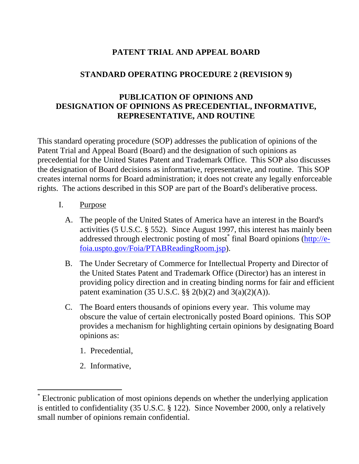# **PATENT TRIAL AND APPEAL BOARD**

### **STANDARD OPERATING PROCEDURE 2 (REVISION 9)**

## **PUBLICATION OF OPINIONS AND DESIGNATION OF OPINIONS AS PRECEDENTIAL, INFORMATIVE, REPRESENTATIVE, AND ROUTINE**

This standard operating procedure (SOP) addresses the publication of opinions of the Patent Trial and Appeal Board (Board) and the designation of such opinions as precedential for the United States Patent and Trademark Office. This SOP also discusses the designation of Board decisions as informative, representative, and routine. This SOP creates internal norms for Board administration; it does not create any legally enforceable rights. The actions described in this SOP are part of the Board's deliberative process.

- I. Purpose
	- A. The people of the United States of America have an interest in the Board's activities (5 U.S.C. § 552). Since August 1997, this interest has mainly been addressed through electronic posting of most\* final Board opinions (http://efoia.uspto.gov/Foia/PTABReadingRoom.jsp).
	- B. The Under Secretary of Commerce for Intellectual Property and Director of the United States Patent and Trademark Office (Director) has an interest in providing policy direction and in creating binding norms for fair and efficient patent examination (35 U.S.C. §§ 2(b)(2) and  $3(a)(2)(A)$ ).
	- C. The Board enters thousands of opinions every year. This volume may obscure the value of certain electronically posted Board opinions. This SOP provides a mechanism for highlighting certain opinions by designating Board opinions as:
		- 1. Precedential,
		- 2. Informative,

 $\overline{a}$ 

<sup>\*</sup> Electronic publication of most opinions depends on whether the underlying application is entitled to confidentiality (35 U.S.C. § 122). Since November 2000, only a relatively small number of opinions remain confidential.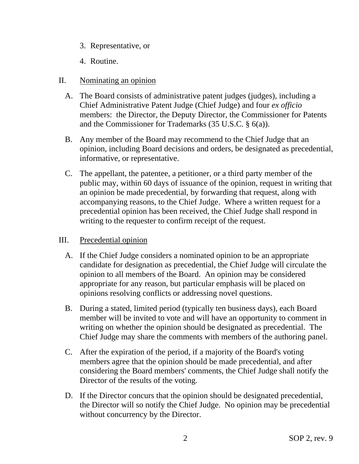- 3. Representative, or
- 4. Routine.

#### II. Nominating an opinion

- A. The Board consists of administrative patent judges (judges), including a Chief Administrative Patent Judge (Chief Judge) and four *ex officio*  members: the Director, the Deputy Director, the Commissioner for Patents and the Commissioner for Trademarks (35 U.S.C. § 6(a)).
- B. Any member of the Board may recommend to the Chief Judge that an opinion, including Board decisions and orders, be designated as precedential, informative, or representative.
- C. The appellant, the patentee, a petitioner, or a third party member of the public may, within 60 days of issuance of the opinion, request in writing that an opinion be made precedential, by forwarding that request, along with accompanying reasons, to the Chief Judge. Where a written request for a precedential opinion has been received, the Chief Judge shall respond in writing to the requester to confirm receipt of the request.

#### III. Precedential opinion

- A. If the Chief Judge considers a nominated opinion to be an appropriate candidate for designation as precedential, the Chief Judge will circulate the opinion to all members of the Board. An opinion may be considered appropriate for any reason, but particular emphasis will be placed on opinions resolving conflicts or addressing novel questions.
- B. During a stated, limited period (typically ten business days), each Board member will be invited to vote and will have an opportunity to comment in writing on whether the opinion should be designated as precedential. The Chief Judge may share the comments with members of the authoring panel.
- C. After the expiration of the period, if a majority of the Board's voting members agree that the opinion should be made precedential, and after considering the Board members' comments, the Chief Judge shall notify the Director of the results of the voting.
- D. If the Director concurs that the opinion should be designated precedential, the Director will so notify the Chief Judge. No opinion may be precedential without concurrency by the Director.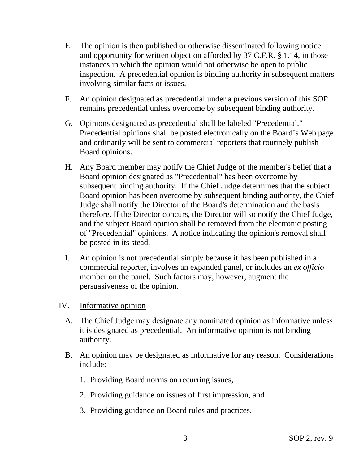- E. The opinion is then published or otherwise disseminated following notice and opportunity for written objection afforded by 37 C.F.R. § 1.14, in those instances in which the opinion would not otherwise be open to public inspection. A precedential opinion is binding authority in subsequent matters involving similar facts or issues.
- F. An opinion designated as precedential under a previous version of this SOP remains precedential unless overcome by subsequent binding authority.
- G. Opinions designated as precedential shall be labeled "Precedential." Precedential opinions shall be posted electronically on the Board's Web page and ordinarily will be sent to commercial reporters that routinely publish Board opinions.
- H. Any Board member may notify the Chief Judge of the member's belief that a Board opinion designated as "Precedential" has been overcome by subsequent binding authority. If the Chief Judge determines that the subject Board opinion has been overcome by subsequent binding authority, the Chief Judge shall notify the Director of the Board's determination and the basis therefore. If the Director concurs, the Director will so notify the Chief Judge, and the subject Board opinion shall be removed from the electronic posting of "Precedential" opinions. A notice indicating the opinion's removal shall be posted in its stead.
- I. An opinion is not precedential simply because it has been published in a commercial reporter, involves an expanded panel, or includes an *ex officio*  member on the panel. Such factors may, however, augment the persuasiveness of the opinion.
- IV. Informative opinion
	- A. The Chief Judge may designate any nominated opinion as informative unless it is designated as precedential. An informative opinion is not binding authority.
	- B. An opinion may be designated as informative for any reason. Considerations include:
		- 1. Providing Board norms on recurring issues,
		- 2. Providing guidance on issues of first impression, and
		- 3. Providing guidance on Board rules and practices.